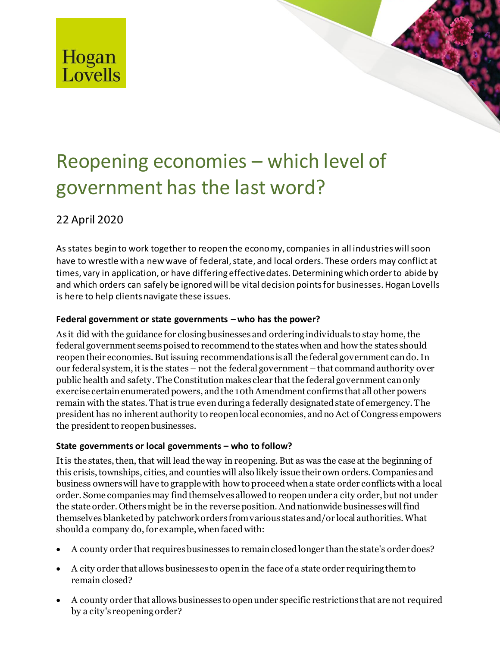

# Reopening economies – which level of government has the last word?

## 22 April 2020

As states begin to work together to reopen the economy, companies in all industries will soon have to wrestle with a new wave of federal, state, and local orders. These orders may conflict at times, vary in application, or have differing effective dates. Determining which order to abide by and which orders can safely be ignored will be vital decision points for businesses. Hogan Lovells is here to help clients navigate these issues.

## **Federal government or state governments – who has the power?**

As it did with the guidance for closing businesses and ordering individuals to stay home, the federal government seems poised to recommend to the states when and how the states should reopen their economies. But issuing recommendations is all the federal government can do. In our federal system, it is the states – not the federal government – that command authority over public health and safety. The Constitution makes clear that the federal government can only exercise certain enumerated powers, and the 10th Amendment confirms that all other powers remain with the states. That is true even during a federally designated state of emergency. The president has no inherent authority to reopen local economies, and no Act of Congress empowers the president to reopen businesses.

### **State governments or local governments – who to follow?**

It is the states, then, that will lead the way in reopening. But as was the case at the beginning of this crisis, townships, cities, and counties will also likely issue their own orders. Companies and business owners will have to grapple with how to proceed when a state order conflicts with a local order. Some companies may find themselves allowed to reopen under a city order, but not under the state order. Others might be in the reverse position. And nationwide businesses will find themselves blanketed by patchwork orders from various states and/or local authorities. What should a company do, for example, when faced with:

- A county order that requires businesses to remain closed longer than the state's order does?
- A city order that allows businesses to open in the face of a state order requiring them to remain closed?
- A county order that allows businesses to open under specific restrictions that are not required by a city's reopening order?